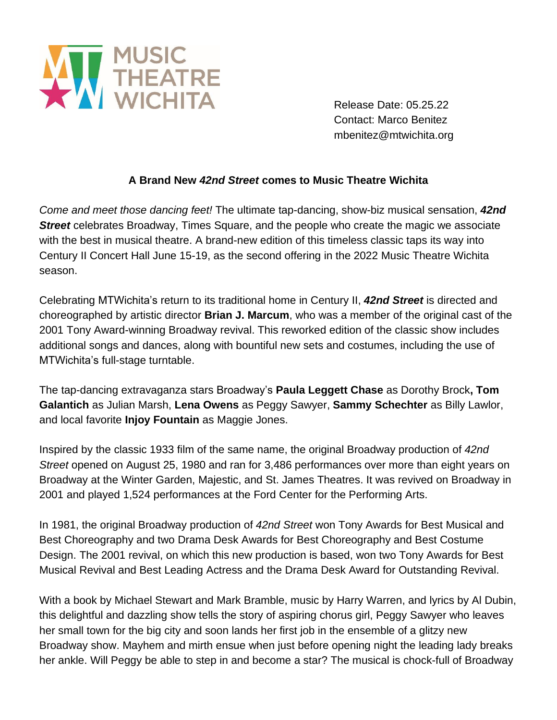

Release Date: 05.25.22 Contact: Marco Benitez mbenitez@mtwichita.org

## **A Brand New** *42nd Street* **comes to Music Theatre Wichita**

*Come and meet those dancing feet!* The ultimate tap-dancing, show-biz musical sensation, *42nd Street* celebrates Broadway, Times Square, and the people who create the magic we associate with the best in musical theatre. A brand-new edition of this timeless classic taps its way into Century II Concert Hall June 15-19, as the second offering in the 2022 Music Theatre Wichita season.

Celebrating MTWichita's return to its traditional home in Century II, *42nd Street* is directed and choreographed by artistic director **Brian J. Marcum**, who was a member of the original cast of the 2001 Tony Award-winning Broadway revival. This reworked edition of the classic show includes additional songs and dances, along with bountiful new sets and costumes, including the use of MTWichita's full-stage turntable.

The tap-dancing extravaganza stars Broadway's **Paula Leggett Chase** as Dorothy Brock**, Tom Galantich** as Julian Marsh, **Lena Owens** as Peggy Sawyer, **Sammy Schechter** as Billy Lawlor, and local favorite **Injoy Fountain** as Maggie Jones.

Inspired by the classic 1933 film of the same name, the original Broadway production of *42nd Street* opened on August 25, 1980 and ran for 3,486 performances over more than eight years on Broadway at the Winter Garden, Majestic, and St. James Theatres. It was revived on Broadway in 2001 and played 1,524 performances at the Ford Center for the Performing Arts.

In 1981, the original Broadway production of *42nd Street* won Tony Awards for Best Musical and Best Choreography and two Drama Desk Awards for Best Choreography and Best Costume Design. The 2001 revival, on which this new production is based, won two Tony Awards for Best Musical Revival and Best Leading Actress and the Drama Desk Award for Outstanding Revival.

With a book by Michael Stewart and Mark Bramble, music by Harry Warren, and lyrics by Al Dubin, this delightful and dazzling show tells the story of aspiring chorus girl, Peggy Sawyer who leaves her small town for the big city and soon lands her first job in the ensemble of a glitzy new Broadway show. Mayhem and mirth ensue when just before opening night the leading lady breaks her ankle. Will Peggy be able to step in and become a star? The musical is chock-full of Broadway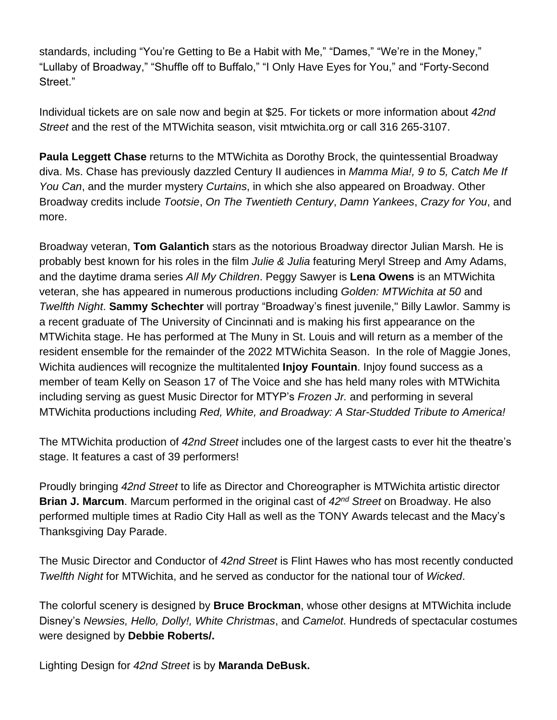standards, including "You're Getting to Be a Habit with Me," "Dames," "We're in the Money," "Lullaby of Broadway," "Shuffle off to Buffalo," "I Only Have Eyes for You," and "Forty-Second Street."

Individual tickets are on sale now and begin at \$25. For tickets or more information about *42nd Street* and the rest of the MTWichita season, visit [mtwichita.org](http://mtwichita.org/) or call 316 265-3107.

**Paula Leggett Chase** returns to the MTWichita as Dorothy Brock, the quintessential Broadway diva. Ms. Chase has previously dazzled Century II audiences in *Mamma Mia!, 9 to 5, Catch Me If You Can*, and the murder mystery *Curtains*, in which she also appeared on Broadway. Other Broadway credits include *Tootsie*, *On The Twentieth Century*, *Damn Yankees*, *Crazy for You*, and more.

Broadway veteran, **Tom Galantich** stars as the notorious Broadway director Julian Marsh*.* He is probably best known for his roles in the film *Julie & Julia* featuring Meryl Streep and Amy Adams, and the daytime drama series *All My Children*. Peggy Sawyer is **Lena Owens** is an MTWichita veteran, she has appeared in numerous productions including *Golden: MTWichita at 50* and *Twelfth Night*. **Sammy Schechter** will portray "Broadway's finest juvenile," Billy Lawlor. Sammy is a recent graduate of The University of Cincinnati and is making his first appearance on the MTWichita stage. He has performed at The Muny in St. Louis and will return as a member of the resident ensemble for the remainder of the 2022 MTWichita Season. In the role of Maggie Jones, Wichita audiences will recognize the multitalented **Injoy Fountain**. Injoy found success as a member of team Kelly on Season 17 of The Voice and she has held many roles with MTWichita including serving as guest Music Director for MTYP's *Frozen Jr.* and performing in several MTWichita productions including *Red, White, and Broadway: A Star-Studded Tribute to America!*

The MTWichita production of *42nd Street* includes one of the largest casts to ever hit the theatre's stage. It features a cast of 39 performers!

Proudly bringing *42nd Street* to life as Director and Choreographer is MTWichita artistic director **Brian J. Marcum**. Marcum performed in the original cast of *42nd Street* on Broadway. He also performed multiple times at Radio City Hall as well as the TONY Awards telecast and the Macy's Thanksgiving Day Parade.

The Music Director and Conductor of *42nd Street* is Flint Hawes who has most recently conducted *Twelfth Night* for MTWichita, and he served as conductor for the national tour of *Wicked*.

The colorful scenery is designed by **Bruce Brockman**, whose other designs at MTWichita include Disney's *Newsies, Hello, Dolly!, White Christmas*, and *Camelot*. Hundreds of spectacular costumes were designed by **Debbie Roberts/.**

Lighting Design for *42nd Street* is by **Maranda DeBusk.**